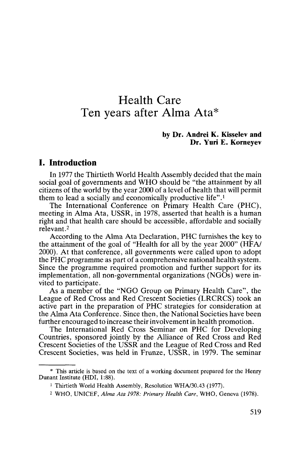# Health Care Ten years after Alma Ata\*

#### **by Dr. Andrei K. Kisselev and Dr. Yuri E. Korneyev**

### **I. Introduction**

In 1977 the Thirtieth World Health Assembly decided that the main social goal of governments and WHO should be "the attainment by all citizens of the world by the year 2000 of a level of health that will permit them to lead a socially and economically productive life".1

The International Conference on Primary Health Care (PHC), meeting in Alma Ata, USSR, in 1978, asserted that health is a human right and that health care should be accessible, affordable and socially relevant.2

According to the Alma Ata Declaration, PHC furnishes the key to the attainment of the goal of "Health for all by the year 2000" (HFA/ 2000). At that conference, all governments were called upon to adopt the PHC programme as part of a comprehensive national health system. Since the programme required promotion and further support for its implementation, all non-governmental organizations (NGOs) were in- vited to participate.

As a member of the "NGO Group on Primary Health Care", the League of Red Cross and Red Crescent Societies (LRCRCS) took an active part in the preparation of PHC strategies for consideration at the Alma Ata Conference. Since then, the National Societies have been further encouraged to increase their involvement in health promotion. The International Red Cross Seminar on PHC for Developing

Countries, sponsored jointly by the Alliance of Red Cross and Red Crescent Societies of the USSR and the League of Red Cross and Red Crescent Societies, was held in Frunze, USSR, in 1979. The seminar

<sup>\*</sup> This article is based on the text of a working document prepared for the Henry Dunant Institute (HDI, 1:88).

<sup>&</sup>lt;sup>1</sup> Thirtieth World Health Assembly, Resolution WHA/30.43 (1977).

<sup>2</sup> WHO, UNICEF, *Alma Ata 1978: Primary Health Care,* WHO, Geneva (1978).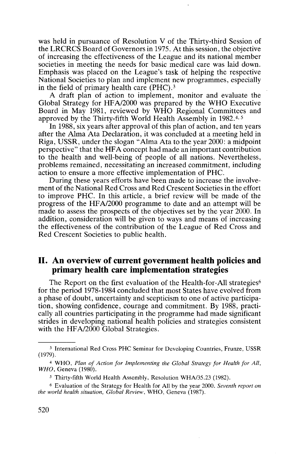was held in pursuance of Resolution V of the Thirty-third Session of the LRCRCS Board of Governors in 1975. At this session, the objective of increasing the effectiveness of the League and its national member societies in meeting the needs for basic medical care was laid down. Emphasis was placed on the League's task of helping the respective National Societies to plan and implement new programmes, especially in the field of primary health care (PHC).<sup>3</sup>

A draft plan of action to implement, monitor and evaluate the Global Strategy for HFA/2000 was prepared by the WHO Executive Board in May 1981, reviewed by WHO Regional Committees and approved by the Thirty-fifth World Health Assembly in 1982.<sup>4, 5</sup>

In 1988, six years after approval of this plan of action, and ten years after the Alma Ata Declaration, it was concluded at a meeting held in Riga, USSR, under the slogan "Alma Ata to the year 2000: a midpoint perspective" that the HFA concept had made an important contribution to the health and well-being of people of all nations. Nevertheless, problems remained, necessitating an increased commitment, including action to ensure a more effective implementation of PHC.

During these years efforts have been made to increase the involve- ment of the National Red Cross and Red Crescent Societies in the effort to improve PHC. In this article, a brief review will be made of the progress of the HF A/2000 programme to date and an attempt will be made to assess the prospects of the objectives set by the year 2000. In addition, consideration will be given to ways and means of increasing the effectiveness of the contribution of the League of Red Cross and Red Crescent Societies to public health.

## II. An overview of current government health policies and primary health care implementation strategies

The Report on the first evaluation of the Health-for-All strategies<sup>6</sup> for the period 1978-1984 concluded that most States have evolved from a phase of doubt, uncertainty and scepticism to one of active participa- tion, showing confidence, courage and commitment. By 1988, practi- cally all countries participating in the programme had made significant strides in developing national health policies and strategies consistent with the HFA/2000 Global Strategies.

<sup>&</sup>lt;sup>3</sup> International Red Cross PHC Seminar for Developing Countries, Frunze, USSR (1979).

<sup>4</sup> WHO, *Plan of Action for Implementing the Global Strategy for Health for All, WHO,* Geneva (1980).

<sup>5</sup> Thirty-fifth World Health Assembly, Resolution WHA/35.23 (1982).

*<sup>6</sup>* Evaluation of the Strategy for Health for All by the year 2000. *Seventh report on the world health situation, Global Review,* WHO, Geneva (1987).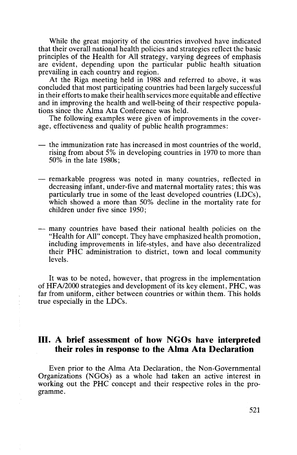While the great majority of the countries involved have indicated that their overall national health policies and strategies reflect the basic principles of the Health for All strategy, varying degrees of emphasis are evident, depending upon the particular public health situation prevailing in each country and region.

At the Riga meeting held in 1988 and referred to above, it was concluded that most participating countries had been largely successful in their efforts to make their health services more equitable and effective and in improving the health and well-being of their respective populations since the Alma Ata Conference was held.<br>The following examples were given of improvements in the cover-<br>age, effectiveness and quality of public he

- the immunization rate has increased in most countries of the world, rising from about 5% in developing countries in 1970 to more than 50% in the late 1980s;
- remarkable progress was noted in many countries, reflected in decreasing infant, under-five and maternal mortality rates; this was particularly true in some of the least developed countries (LDCs), which showed a more than 50% decline in the mortality rate for children under five since 1950;
- many countries have based their national health policies on the "Health for All" concept. They have emphasized health promotion, including improvements in life-styles, and have also decentralized their PHC administration to district, town and local community levels.

It was to be noted, however, that progress in the implementation of HFA/2000 strategies and development of its key element, PHC, was far from uniform, either between countries or within them. This holds true especially in the LDCs.

# III. A brief assessment of how NGOs have interpreted their roles in response to the Alma Ata Declaration

Even prior to the Alma Ata Declaration, the Non-Governmental Organizations (NGOs) as a whole had taken an active interest in working out the PHC concept and their respective roles in the pro-gramme.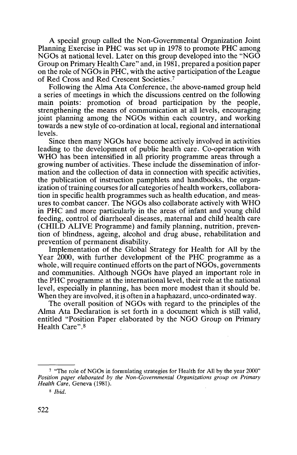A special group called the Non-Governmental Organization Joint Planning Exercise in PHC was set up in 1978 to promote PHC among NGOs at national level. Later on this group developed into the "NGO Group on Primary Health Care" and, in 1981, prepared a position paper on the role of NGOs in PHC, with the active participation of the League of Red Cross and Red Crescent Societies.7

Following the Alma Ata Conference, the above-named group held a series of meetings in which the discussions centred on the following main points: promotion of broad participation by the people, strengthening the means of communication at all levels, encouraging joint planning among the NGOs within each country, and working towards a new style of co-ordination at local, regional and international levels.

Since then many NGOs have become actively involved in activities leading to the development of public health care. Co-operation with WHO has been intensified in all priority programme areas through a growing number of activities. These include the dissemination of information and the collection of data in connection with specific activities,<br>the publication of instruction pamphlets and handbooks, the organ-<br>ization of training courses for all categories of health workers, collabora-<br>tion in PHC and more particularly in the areas of infant and young child feeding, control of diarrhoeal diseases, maternal and child health care (CHILD ALIVE Programme) and family planning, nutrition, preven- tion of blindness, ageing, alcohol and drug abuse, rehabilitation and prevention of permanent disability.

Implementation of the Global Strategy for Health for All by the Year 2000, with further development of the PHC programme as a whole, will require continued efforts on the part of NGOs, governments and communities. Although NGOs have played an important role in the PHC programme at the international level, their role at the national level, especially in planning, has been more modest than it should be. When they are involved, it is often in a haphazard, unco-ordinated way.

The overall position of NGOs with regard to the principles of the Alma Ata Declaration is set forth in a document which is still valid, entitled "Position Paper elaborated by the NGO Group on Primary Health Care".<sup>8</sup>

<sup>&</sup>lt;sup>7</sup> "The role of NGOs in formulating strategies for Health for All by the year 2000" Position paper elaborated by the Non-Governmental Organizations group on Primary *Health Care,* Geneva (1981).

<sup>8</sup>  *Ibid.*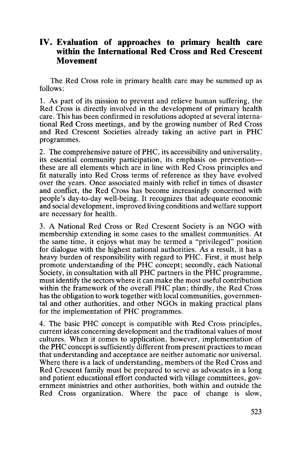# IV. Evaluation of approaches to primary health care within the International Red Cross and Red Crescent Movement

The Red Cross role in primary health care may be summed up as follows:

1. As part of its mission to prevent and relieve human suffering, the Red Cross is directly involved in the development of primary health care. This has been confirmed in resolutions adopted at several international Red Cross meetings, and by the growing number of Red Cross and Red Crescent Societies already taking an active part in PHC programmes.

2. The comprehensive nature of PHC, its accessibility and universality, its essential community participation, its emphasis on prevention— these are all elements which are in line with Red Cross principles and fit naturally into Red Cross terms of reference as they have evolved over the years. Once associated mainly with relief in times of disaster and conflict, the Red Cross has become increasingly concerned with people's day-to-day well-being. It recognizes that adequate economic and social development, improved living conditions and welfare support are necessary for health.

3. A National Red Cross or Red Crescent Society is an NGO with membership extending in some cases to the smallest communities. At the same time, it enjoys what may be termed a "privileged" position for dialogue with the highest national authorities. As a result, it has a heavy burden of responsibility with regard to PHC. First, it must help promote understanding of the PHC concept; secondly, each National Society, in consultation with all PHC partners in the PHC programme, must identify the sectors where it can make the most useful contribution within the framework of the overall PHC plan; thirdly, the Red Cross has the obligation to work together with local communities, governmen- tal and other authorities, and other NGOs in making practical plans for the implementation of PHC programmes.

4. The basic PHC concept is compatible with Red Cross principles, current ideas concerning development and the traditonal values of most cultures. When it comes to application, however, implementation of the PHC concept is sufficiently different from present practices to mean that understanding and acceptance are neither automatic nor universal. Where there is a lack of understanding, members of the Red Cross and Red Crescent family must be prepared to serve as advocates in a long and patient educational effort conducted with village committees, gov- ernment ministries and other authorities, both within and outside the Red Cross organization. Where the pace of change is slow,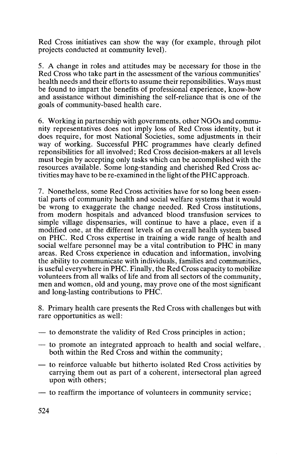Red Cross initiatives can show the way (for example, through pilot projects conducted at community level).

5. A change in roles and attitudes may be necessary for those in the health needs and their efforts to assume their reponsibilities. Ways must be found to impart the benefits of professional experience, know-how and assistance without diminishing the self-reliance that is one of the goals of community-based health care.

6. Working in partnership with governments, other NGOs and commu- nity representatives does not imply loss of Red Cross identity, but it does require, for most National Societies, some adjustments in their way of working. Successful PHC programmes have clearly defined reponsibilities for all involved; Red Cross decision-makers at all levels must begin by accepting only tasks which can be accomplished with the resources available. Some long-standing and cherished Red Cross ac- tivities may have to be re-examined in the light of the PHC approach.

7. Nonetheless, some Red Cross activities have for so long been essential parts of community health and social welfare systems that it would be wrong to exaggerate the change needed. Red Cross institutions, from modern hospitals and advanced blood transfusion services to simple village dispensaries, will continue to have a place, even if a modified one, at the different levels of an overall health system based on PHC. Red Cross expertise in training a wide range of health and social welfare personnel may be a vital contribution to PHC in many areas. Red Cross experience in education and information, involving the ability to communicate with individuals, families and communities, is useful everywhere in PHC. Finally, the Red Cross capacity to mobilize volunteers from all walks of life and from all sectors of the community, men and women, old and young, may prove one of the most significant and long-lasting contributions to PHC.

8. Primary health care presents the Red Cross with challenges but with rare opportunities as well:

- to demonstrate the validity of Red Cross principles in action;
- to promote an integrated approach to health and social welfare, both within the Red Cross and within the community;
- to reinforce valuable but hitherto isolated Red Cross activities by carrying them out as part of a coherent, intersectoral plan agreed upon with others;
- to reaffirm the importance of volunteers in community service;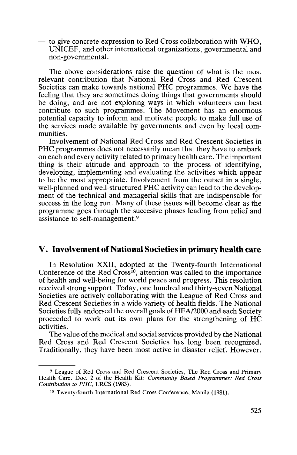— to give concrete expression to Red Cross collaboration with WHO, UNICEF, and other international organizations, governmental and non-governmental.

The above considerations raise the question of what is the most relevant contribution that National Red Cross and Red Crescent Societies can make towards national PHC programmes. We have the feeling that they are sometimes doing things that governments should be doing, and are not exploring ways in which volunteers can best contribute to such programmes. The Movement has an enormous potential capacity to inform and motivate people to make full use of the services made available by governments and even by local com- munities.

Involvement of National Red Cross and Red Crescent Societies in PHC programmes does not necessarily mean that they have to embark on each and every activity related to primary health care. The important thing is their attitude and approach to the process of identifying, developing, implementing and evaluating the activities which appear<br>to be the most appropriate. Involvement from the outset in a single, well-planned and well-structured PHC activity can lead to the develop-<br>ment of the technical and managerial skills that are indispensable for success in the long run. Many of these issues will become clear as the programme goes through the succesive phases leading from relief and assistance to self-management.9

## V. Involvement of National Societies in primary health care

In Resolution XXII, adopted at the Twenty-fourth International Conference of the Red Cross<sup>10</sup>, attention was called to the importance of health and well-being for world peace and progress. This resolution received strong support. Today, one hundred and thirty-seven National Societies are actively collaborating with the League of Red Cross and Red Crescent Societies in a wide variety of health fields. The National Societies fully endorsed the overall goals of HFA/2000 and each Society proceeded to work out its own plans for the strengthening of HC activities.

The value of the medical and social services provided by the National Red Cross and Red Crescent Societies has long been recognized. Traditionally, they have been most active in disaster relief. However,

<sup>&</sup>lt;sup>9</sup> League of Red Cross and Red Crescent Societies, The Red Cross and Primary Health Care. Doc. 2 of the Health Kit: *Community Based Programmes: Red Cross Contribution to PHC,* LRCS (1983).

<sup>10</sup> Twenty-fourth International Red Cross Conference, Manila (1981).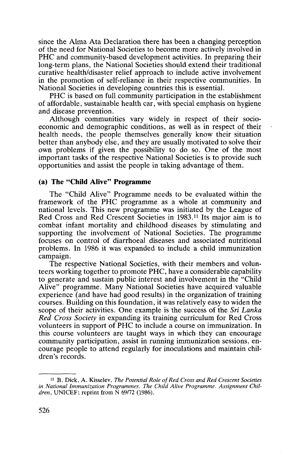since the Alma Ata Declaration there has been a changing perception of the need for National Societies to become more actively involved in PHC and community-based development activities. In preparing their long-term plans, the National Societies should extend their traditional curative health/disaster relief approach to include active involvement in the promotion of self-reliance in their respective communities. In National Societies in developing countries this is essential.

PHC is based on full community participation in the establishment of affordable, sustainable health car, with special emphasis on hygiene

Although communities vary widely in respect of their socio-<br>economic and demographic conditions, as well as in respect of their health needs, the people themselves generally know their situation better than anybody else, and they are usually motivated to solve their own problems if given the possibility to do so. One of the most important tasks of the respective National Societies is to provide such opportunities and assist the people in taking advantage of them.

#### **(a) The "Child Alive" Programme**

The "Child Alive" Programme needs to be evaluated within the framework of the PHC programme as a whole at community and national levels. This new programme was initiated by the League of Red Cross and Red Crescent Societies in 1983.<sup>11</sup> Its major aim is to combat infant mortality and childhood diseases by stimulating and supporting the involvement of National Societies. The programme focuses on control of diarrhoeal diseases and associated nutritional problems. In 1986 it was expanded to include a child immunization campaign.<br>The respective National Societies, with their members and volun-

teers working together to promote PHC, have a considerable capability to generate and sustain public interest and involvement in the "Child Alive" programme. Many National Societies have acquired valuable experience (and have had good results) in the organization of training courses. Building on this foundation, it was relatively easy to widen the scope of their activities. One example is the success of the *Sri Lanka Red Cross Society* in expanding its training curriculum for Red Cross volunteers in support of PHC to include a course on immunization. In this course volunteers are taught ways in which they can encourage community participation, assist in running immunization sessions, encourage people to attend regularly for inoculations and maintain chil-<br>dren's records.

<sup>11</sup> B. Dick, A. Kisselev, *The Potential Role of Red Cross and Red Crescent Societies in National Immunization Programmes. The Child Alive Programme. Assignment Children,* UNICEF; reprint from N 69/72 (1986).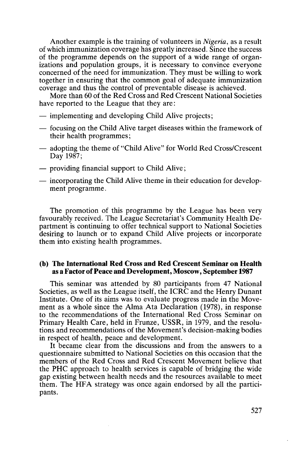Another example is the training of volunteers in *Nigeria,* as a result of which immunization coverage has greatly increased. Since the success izations and population groups, it is necessary to convince everyone concerned of the need for immunization. They must be willing to work together in ensuring that the common goal of adequate immunization coverage and thus the control of preventable disease is achieved.

More than 60 of the Red Cross and Red Crescent National Societies have reported to the League that they are:

- implementing and developing Child Alive projects;
- focusing on the Child Alive target diseases within the framework of their health programmes;
- adopting the theme of "Child Alive" for World Red Cross/Crescent Day 1987;
- providing financial support to Child Alive;
- incorporating the Child Alive theme in their education for develop- ment programme.

The promotion of this programme by the League has been very favourably received. The League Secretariat's Community Health Department is continuing to offer technical support to National Societies desiring to launch or to expand Child Alive projects or incorporate them into existing health programmes.

#### **(b) The International Red Cross and Red Crescent Seminar on Health as a Factor of Peace and Development, Moscow, September 1987**

This seminar was attended by 80 participants from 47 National Societies, as well as the League itself, the ICRC and the Henry Dunant Institute. One of its aims was to evaluate progress made in the Move- ment as a whole since the Alma Ata Declaration (1978), in response to the recommendations of the International Red Cross Seminar on tions and recommendations of the Movement's decision-making bodies in respect of health, peace and development.

It became clear from the discussions and from the answers to a questionnaire submitted to National Societies on this occasion that the members of the Red Cross and Red Crescent Movement believe that the PHC approach to health services is capable of bridging the wide gap existing between health needs and the resources available to meet them. The HFA strategy was once again endorsed by all the partici- pants.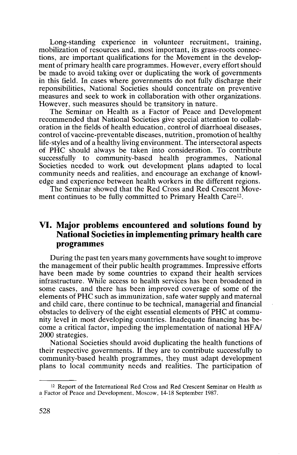Long-standing experience in volunteer recruitment, training, mobilization of resources and, most important, its grass-roots connections, are important qualifications for the Movement in the development of primary health ca be made to avoid taking over or duplicating the work of governments in this field. In cases where governments do not fully discharge their reponsibilities, National Societies should concentrate on preventive measures and seek to work in collaboration with other organizations. However, such measures should be transitory in nature.

The Seminar on Health as a Factor of Peace and Development recommended that National Societies give special attention to collaboration in the fields of health education, control of diarrhoeal diseases, control of vaccine-preventable diseases, nutrition, promotion of healthy life-styles and of a healthy living environment. The intersectoral aspects of PHC should always be taken into consideration. To contribute successfully to community-based health programmes, National Societies needed to work out development plans adapted to local community needs and realities, and encourage an exchange of knowl- edge and experience between health workers in the different regions.

The Seminar showed that the Red Cross and Red Crescent Move- ment continues to be fully committed to Primary Health Care12.

# VI. Major problems encountered and solutions found by National Societies in implementing primary health care programmes

During the past ten years many governments have sought to improve the management of their public health programmes. Impressive efforts have been made by some countries to expand their health services infrastructure. While access to health services has been broadened in some cases, and there has been improved coverage of some of the elements of PHC such as immunization, safe water supply and maternal and child care, there continue to be technical, managerial and financial nity level in most developing countries. Inadequate financing has become a critical factor, impeding the implementation of national HFA/ 2000 strategies.

National Societies should avoid duplicating the health functions of their respective governments. If they are to contribute successfully to community-based health programmes, they must adapt development plans to local community needs and realities. The participation of

<sup>12</sup> Report of the International Red Cross and Red Crescent Seminar on Health as a Factor of Peace and Development, Moscow, 14-18 September 1987.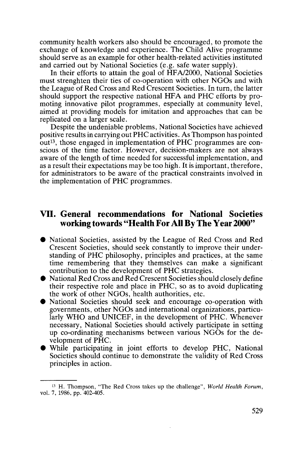community health workers also should be encouraged, to promote the exchange of knowledge and experience. The Child Alive programme should serve as an example for other health-related activities instituted and carried out by National Societies (e.g. safe water supply).

In their efforts to attain the goal of HFA/2000, National Societies must strenghten their ties of co-operation with other NGOs and with the League of Red Cross and Red Crescent Societies. In turn, the latter should support the respective national HFA and PHC efforts by promoting innovative pilot programmes, especially at community level, aimed at providing models for imitation and approaches that can be replicated on a larger scale.

Despite the undeniable problems, National Societies have achieved positive results in carrying out PHC activities. As Thompson has pointed out13, those engaged in implementation of PHC programmes are con- scious of the time factor. However, decision-makers are not always aware of the length of time needed for successful implementation, and as a result their expectations may be too high. It is important, therefore, for administrators to be aware of the practical constraints involved in the implementation of PHC programmes.

## VII. General recommendations for National Societies working towards "Health For All By The Year 2000"

- National Societies, assisted by the League of Red Cross and Red Crescent Societies, should seek constantly to improve their under- standing of PHC philosophy, principles and practices, at the same time remembering that they themselves can make a significant contribution to the development of PHC strategies.
- National Red Cross and Red Crescent Societies should closely define their respective role and place in PHC, so as to avoid duplicating the work of other NGOs, health authorities, etc.
- $\bullet$  National Societies should seek and encourage co-operation with governments, other NGOs and international organizations, particu- larly WHO and UNICEF, in the development of PHC. Whenever necessary, National Societies should actively participate in setting up co-ordinating mechanisms between various NGOs for the de- velopment of PHC.
- While participating in joint efforts to develop PHC, National Societies should continue to demonstrate the validity of Red Cross principles in action.

<sup>13</sup> H. Thompson, "The Red Cross takes up the challenge", *World Health Forum,* vol. 7, 1986, pp. 402-405.